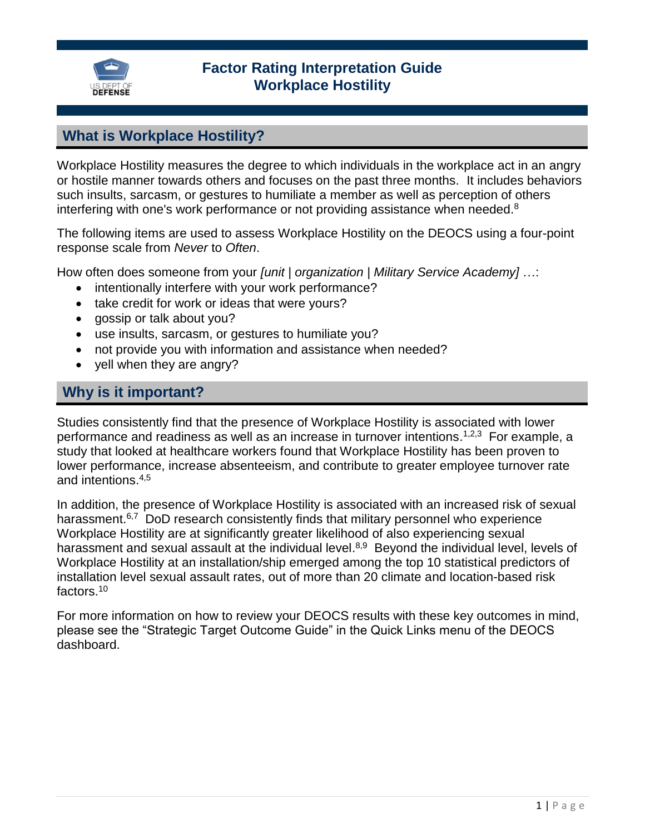

### **Factor Rating Interpretation Guide Workplace Hostility**

### **What is Workplace Hostility?**

Workplace Hostility measures the degree to which individuals in the workplace act in an angry or hostile manner towards others and focuses on the past three months. It includes behaviors such insults, sarcasm, or gestures to humiliate a member as well as perception of others interfering with one's work performance or not providing assistance when needed.<sup>8</sup>

The following items are used to assess Workplace Hostility on the DEOCS using a four-point response scale from *Never* to *Often*.

How often does someone from your *[unit | organization | Military Service Academy]* …:

- intentionally interfere with your work performance?
- take credit for work or ideas that were yours?
- gossip or talk about you?
- use insults, sarcasm, or gestures to humiliate you?
- not provide you with information and assistance when needed?
- yell when they are angry?

### **Why is it important?**

Studies consistently find that the presence of Workplace Hostility is associated with lower performance and readiness as well as an increase in turnover intentions.<sup>1,2,3</sup> For example, a study that looked at healthcare workers found that Workplace Hostility has been proven to lower performance, increase absenteeism, and contribute to greater employee turnover rate and intentions. 4,5

In addition, the presence of Workplace Hostility is associated with an increased risk of sexual harassment.<sup>6,7</sup> DoD research consistently finds that military personnel who experience Workplace Hostility are at significantly greater likelihood of also experiencing sexual harassment and sexual assault at the individual level.<sup>8,9</sup> Beyond the individual level, levels of Workplace Hostility at an installation/ship emerged among the top 10 statistical predictors of installation level sexual assault rates, out of more than 20 climate and location-based risk factors.<sup>10</sup>

For more information on how to review your DEOCS results with these key outcomes in mind, please see the "Strategic Target Outcome Guide" in the Quick Links menu of the DEOCS dashboard.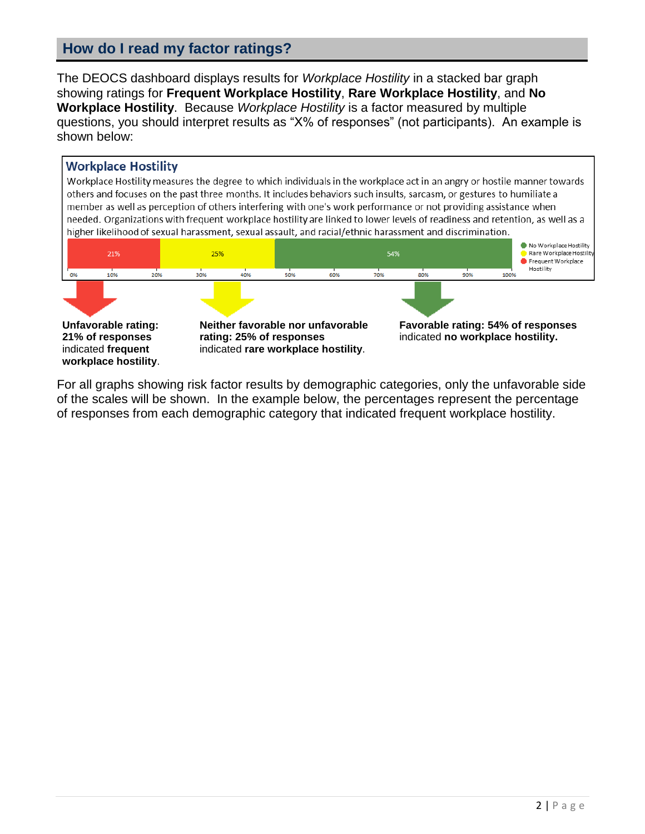# **How do I read my factor ratings?**

The DEOCS dashboard displays results for *Workplace Hostility* in a stacked bar graph showing ratings for **Frequent Workplace Hostility**, **Rare Workplace Hostility**, and **No Workplace Hostility**. Because *Workplace Hostility* is a factor measured by multiple questions, you should interpret results as "X% of responses" (not participants). An example is shown below:

#### **Workplace Hostility**

Workplace Hostility measures the degree to which individuals in the workplace act in an angry or hostile manner towards others and focuses on the past three months. It includes behaviors such insults, sarcasm, or gestures to humiliate a member as well as perception of others interfering with one's work performance or not providing assistance when needed. Organizations with frequent workplace hostility are linked to lower levels of readiness and retention, as well as a higher likelihood of sexual harassment, sexual assault, and racial/ethnic harassment and discrimination.



For all graphs showing risk factor results by demographic categories, only the unfavorable side of the scales will be shown. In the example below, the percentages represent the percentage of responses from each demographic category that indicated frequent workplace hostility.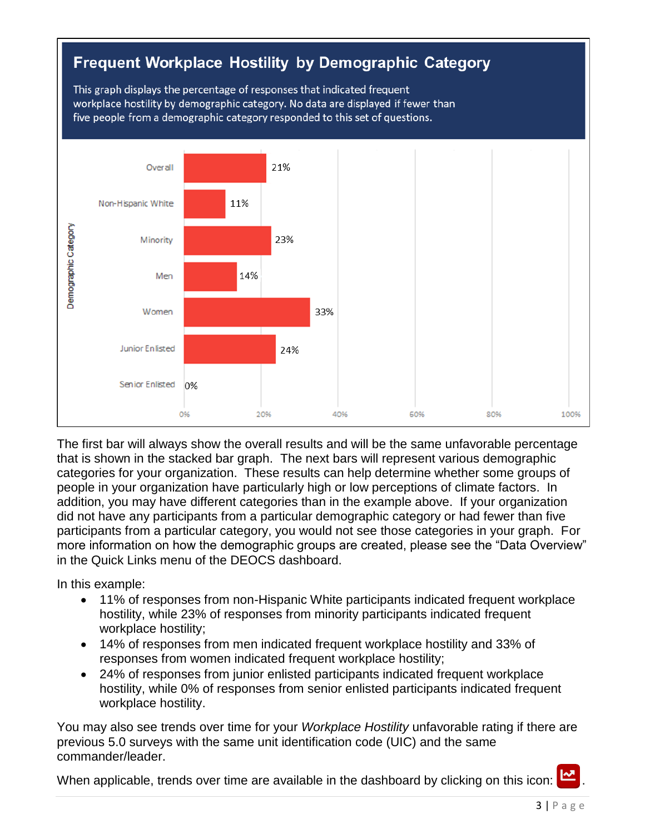

The first bar will always show the overall results and will be the same unfavorable percentage that is shown in the stacked bar graph. The next bars will represent various demographic categories for your organization. These results can help determine whether some groups of people in your organization have particularly high or low perceptions of climate factors. In addition, you may have different categories than in the example above. If your organization did not have any participants from a particular demographic category or had fewer than five participants from a particular category, you would not see those categories in your graph. For more information on how the demographic groups are created, please see the "Data Overview" in the Quick Links menu of the DEOCS dashboard.

In this example:

- 11% of responses from non-Hispanic White participants indicated frequent workplace hostility, while 23% of responses from minority participants indicated frequent workplace hostility;
- 14% of responses from men indicated frequent workplace hostility and 33% of responses from women indicated frequent workplace hostility;
- 24% of responses from junior enlisted participants indicated frequent workplace hostility, while 0% of responses from senior enlisted participants indicated frequent workplace hostility.

You may also see trends over time for your *Workplace Hostility* unfavorable rating if there are previous 5.0 surveys with the same unit identification code (UIC) and the same commander/leader.

When applicable, trends over time are available in the dashboard by clicking on this icon: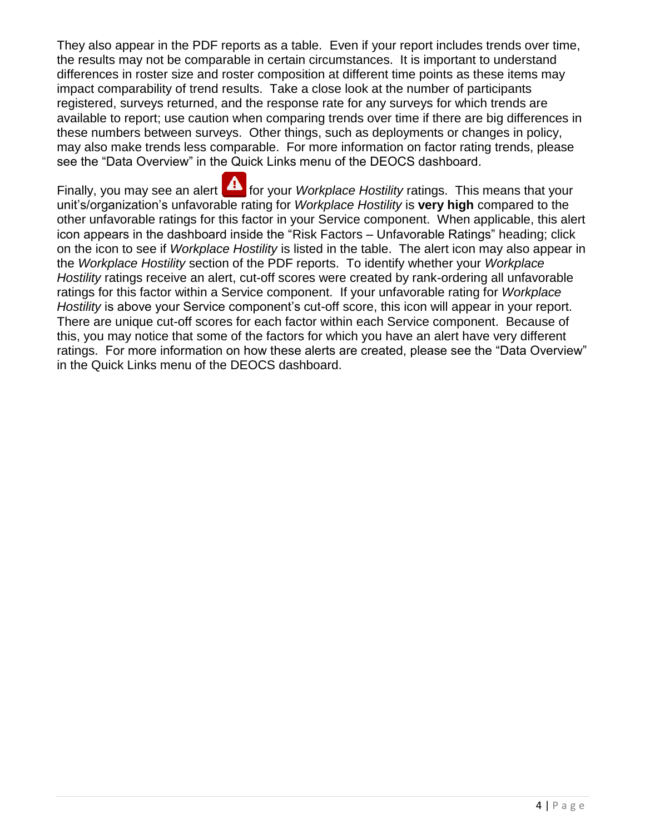They also appear in the PDF reports as a table. Even if your report includes trends over time, the results may not be comparable in certain circumstances. It is important to understand differences in roster size and roster composition at different time points as these items may impact comparability of trend results. Take a close look at the number of participants registered, surveys returned, and the response rate for any surveys for which trends are available to report; use caution when comparing trends over time if there are big differences in these numbers between surveys. Other things, such as deployments or changes in policy, may also make trends less comparable. For more information on factor rating trends, please see the "Data Overview" in the Quick Links menu of the DEOCS dashboard.

Finally, you may see an alert **for your** *Workplace Hostility* ratings. This means that your unit's/organization's unfavorable rating for *Workplace Hostility* is **very high** compared to the other unfavorable ratings for this factor in your Service component. When applicable, this alert icon appears in the dashboard inside the "Risk Factors – Unfavorable Ratings" heading; click on the icon to see if *Workplace Hostility* is listed in the table. The alert icon may also appear in the *Workplace Hostility* section of the PDF reports. To identify whether your *Workplace Hostility* ratings receive an alert, cut-off scores were created by rank-ordering all unfavorable ratings for this factor within a Service component. If your unfavorable rating for *Workplace Hostility* is above your Service component's cut-off score, this icon will appear in your report. There are unique cut-off scores for each factor within each Service component. Because of this, you may notice that some of the factors for which you have an alert have very different ratings. For more information on how these alerts are created, please see the "Data Overview" in the Quick Links menu of the DEOCS dashboard.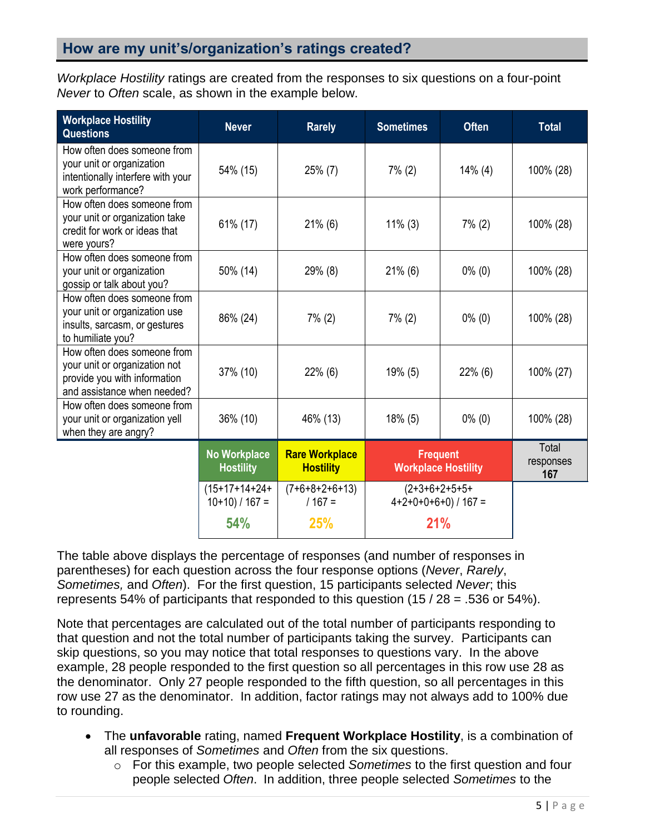# **How are my unit's/organization's ratings created?**

*Workplace Hostility* ratings are created from the responses to six questions on a four-point *Never* to *Often* scale, as shown in the example below.

| <b>Workplace Hostility</b><br><b>Questions</b>                                                                              | <b>Never</b>                            | <b>Rarely</b>                             | <b>Sometimes</b>                                  | <b>Often</b> | <b>Total</b>              |
|-----------------------------------------------------------------------------------------------------------------------------|-----------------------------------------|-------------------------------------------|---------------------------------------------------|--------------|---------------------------|
| How often does someone from<br>your unit or organization<br>intentionally interfere with your<br>work performance?          | 54% (15)                                | $25\%$ (7)                                | $7\%$ (2)                                         | $14\%$ (4)   | 100% (28)                 |
| How often does someone from<br>your unit or organization take<br>credit for work or ideas that<br>were yours?               | 61% (17)                                | $21\%$ (6)                                | $11\%$ (3)                                        | $7\%$ (2)    | 100% (28)                 |
| How often does someone from<br>your unit or organization<br>gossip or talk about you?                                       | 50% (14)                                | 29% (8)                                   | $21\%$ (6)                                        | $0\%$ (0)    | 100% (28)                 |
| How often does someone from<br>your unit or organization use<br>insults, sarcasm, or gestures<br>to humiliate you?          | 86% (24)                                | $7\%$ (2)                                 | $7\%$ (2)                                         | $0\%$ (0)    | 100% (28)                 |
| How often does someone from<br>your unit or organization not<br>provide you with information<br>and assistance when needed? | 37% (10)                                | $22\%$ (6)                                | $19\%$ (5)                                        | $22\%$ (6)   | 100% (27)                 |
| How often does someone from<br>your unit or organization yell<br>when they are angry?                                       | 36% (10)                                | 46% (13)                                  | $18\%$ (5)                                        | $0\%$ (0)    | 100% (28)                 |
|                                                                                                                             | <b>No Workplace</b><br><b>Hostility</b> | <b>Rare Workplace</b><br><b>Hostility</b> | <b>Frequent</b><br><b>Workplace Hostility</b>     |              | Total<br>responses<br>167 |
|                                                                                                                             | $(15+17+14+24+)$<br>$10+10$ ) / $167 =$ | $(7+6+8+2+6+13)$<br>$/167 =$              | $(2+3+6+2+5+5+$<br>$4+2+0+0+6+0$ ) / 167 =<br>21% |              |                           |
|                                                                                                                             | 54%                                     | 25%                                       |                                                   |              |                           |

The table above displays the percentage of responses (and number of responses in parentheses) for each question across the four response options (*Never*, *Rarely*, *Sometimes,* and *Often*). For the first question, 15 participants selected *Never*; this represents 54% of participants that responded to this question  $(15 / 28 = .536$  or 54%).

Note that percentages are calculated out of the total number of participants responding to that question and not the total number of participants taking the survey. Participants can skip questions, so you may notice that total responses to questions vary. In the above example, 28 people responded to the first question so all percentages in this row use 28 as the denominator. Only 27 people responded to the fifth question, so all percentages in this row use 27 as the denominator. In addition, factor ratings may not always add to 100% due to rounding.

- The **unfavorable** rating, named **Frequent Workplace Hostility**, is a combination of all responses of *Sometimes* and *Often* from the six questions.
	- o For this example, two people selected *Sometimes* to the first question and four people selected *Often*. In addition, three people selected *Sometimes* to the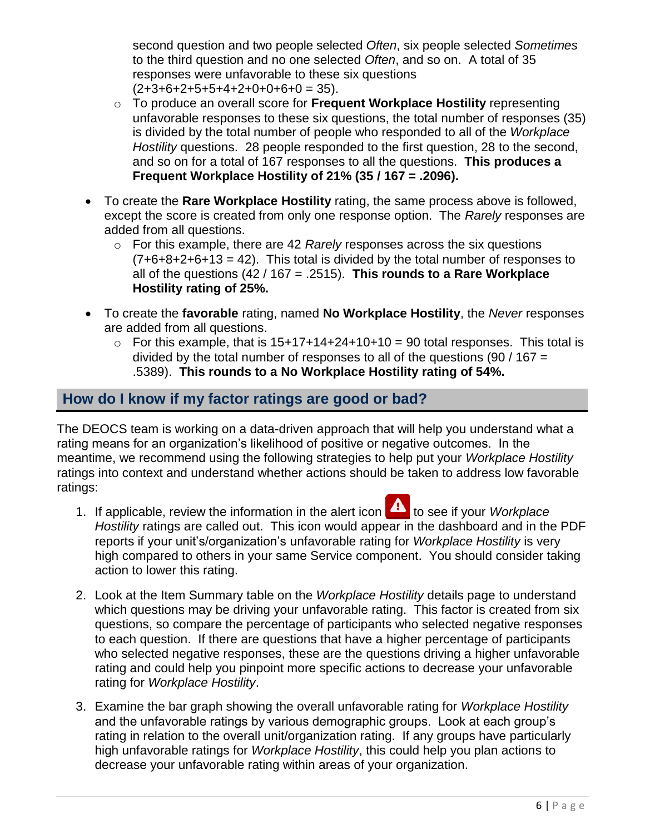second question and two people selected *Often*, six people selected *Sometimes* to the third question and no one selected *Often*, and so on. A total of 35 responses were unfavorable to these six questions  $(2+3+6+2+5+5+4+2+0+0+6+0=35)$ .

- o To produce an overall score for **Frequent Workplace Hostility** representing unfavorable responses to these six questions, the total number of responses (35) is divided by the total number of people who responded to all of the *Workplace Hostility* questions. 28 people responded to the first question, 28 to the second, and so on for a total of 167 responses to all the questions. **This produces a Frequent Workplace Hostility of 21% (35 / 167 = .2096).**
- To create the **Rare Workplace Hostility** rating, the same process above is followed, except the score is created from only one response option. The *Rarely* responses are added from all questions.
	- o For this example, there are 42 *Rarely* responses across the six questions  $(7+6+8+2+6+13 = 42)$ . This total is divided by the total number of responses to all of the questions (42 / 167 = .2515). **This rounds to a Rare Workplace Hostility rating of 25%.**
- To create the **favorable** rating, named **No Workplace Hostility**, the *Never* responses are added from all questions.
	- $\circ$  For this example, that is 15+17+14+24+10+10 = 90 total responses. This total is divided by the total number of responses to all of the questions (90 / 167 = .5389). **This rounds to a No Workplace Hostility rating of 54%.**

# **How do I know if my factor ratings are good or bad?**

The DEOCS team is working on a data-driven approach that will help you understand what a rating means for an organization's likelihood of positive or negative outcomes. In the meantime, we recommend using the following strategies to help put your *Workplace Hostility* ratings into context and understand whether actions should be taken to address low favorable ratings:

- 1. If applicable, review the information in the alert icon **4** to see if your *Workplace Hostility* ratings are called out. This icon would appear in the dashboard and in the PDF reports if your unit's/organization's unfavorable rating for *Workplace Hostility* is very high compared to others in your same Service component. You should consider taking action to lower this rating.
- 2. Look at the Item Summary table on the *Workplace Hostility* details page to understand which questions may be driving your unfavorable rating. This factor is created from six questions, so compare the percentage of participants who selected negative responses to each question. If there are questions that have a higher percentage of participants who selected negative responses, these are the questions driving a higher unfavorable rating and could help you pinpoint more specific actions to decrease your unfavorable rating for *Workplace Hostility*.
- 3. Examine the bar graph showing the overall unfavorable rating for *Workplace Hostility* and the unfavorable ratings by various demographic groups. Look at each group's rating in relation to the overall unit/organization rating. If any groups have particularly high unfavorable ratings for *Workplace Hostility*, this could help you plan actions to decrease your unfavorable rating within areas of your organization.